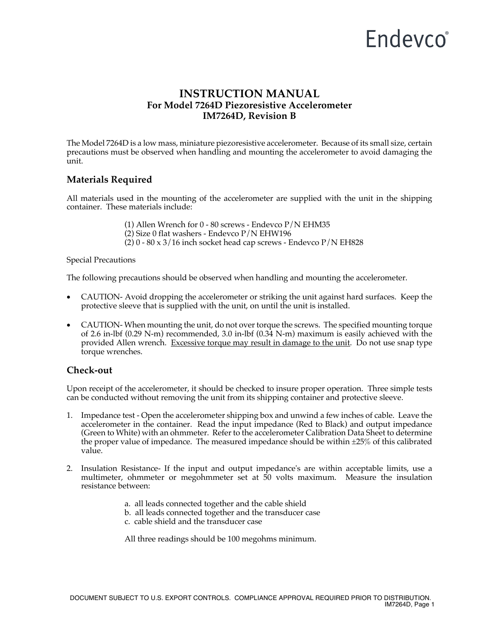## Endevco<sup>®</sup>

## **INSTRUCTION MANUAL For Model 7264D Piezoresistive Accelerometer IM7264D, Revision B**

The Model 7264D is a low mass, miniature piezoresistive accelerometer. Because of its small size, certain precautions must be observed when handling and mounting the accelerometer to avoid damaging the unit.

## **Materials Required**

All materials used in the mounting of the accelerometer are supplied with the unit in the shipping container. These materials include:

(1) Allen Wrench for 0 - 80 screws - Endevco P/N EHM35

- (2) Size 0 flat washers Endevco P/N EHW196
- $(2)$  0 80 x 3/16 inch socket head cap screws Endevco P/N EH828

#### Special Precautions

The following precautions should be observed when handling and mounting the accelerometer.

- CAUTION- Avoid dropping the accelerometer or striking the unit against hard surfaces. Keep the protective sleeve that is supplied with the unit, on until the unit is installed.
- CAUTION- When mounting the unit, do not over torque the screws. The specified mounting torque of 2.6 in-lbf (0.29 N-m) recommended, 3.0 in-lbf (0.34 N-m) maximum is easily achieved with the provided Allen wrench. Excessive torque may result in damage to the unit. Do not use snap type torque wrenches.

#### **Check-out**

Upon receipt of the accelerometer, it should be checked to insure proper operation. Three simple tests can be conducted without removing the unit from its shipping container and protective sleeve.

- 1. Impedance test Open the accelerometer shipping box and unwind a few inches of cable. Leave the accelerometer in the container. Read the input impedance (Red to Black) and output impedance (Green to White) with an ohmmeter. Refer to the accelerometer Calibration Data Sheet to determine the proper value of impedance. The measured impedance should be within  $\pm 25\%$  of this calibrated value.
- 2. Insulation Resistance- If the input and output impedance's are within acceptable limits, use a multimeter, ohmmeter or megohmmeter set at 50 volts maximum. Measure the insulation resistance between:
	- a. all leads connected together and the cable shield
	- b. all leads connected together and the transducer case
	- c. cable shield and the transducer case

All three readings should be 100 megohms minimum.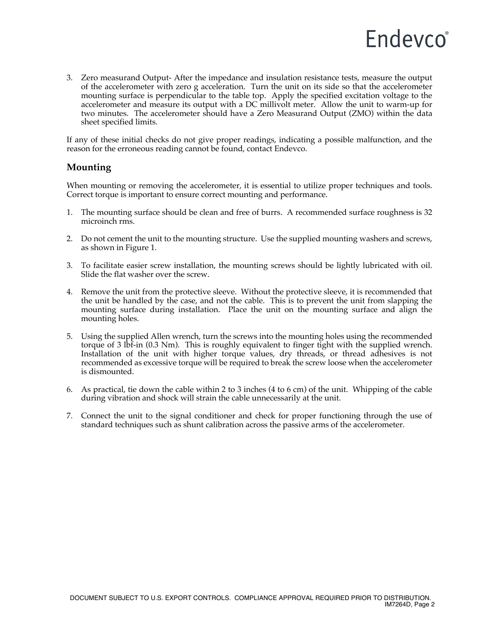

3. Zero measurand Output- After the impedance and insulation resistance tests, measure the output of the accelerometer with zero g acceleration. Turn the unit on its side so that the accelerometer mounting surface is perpendicular to the table top. Apply the specified excitation voltage to the accelerometer and measure its output with a DC millivolt meter. Allow the unit to warm-up for two minutes. The accelerometer should have a Zero Measurand Output (ZMO) within the data sheet specified limits.

If any of these initial checks do not give proper readings, indicating a possible malfunction, and the reason for the erroneous reading cannot be found, contact Endevco.

#### **Mounting**

When mounting or removing the accelerometer, it is essential to utilize proper techniques and tools. Correct torque is important to ensure correct mounting and performance.

- 1. The mounting surface should be clean and free of burrs. A recommended surface roughness is 32 microinch rms.
- 2. Do not cement the unit to the mounting structure. Use the supplied mounting washers and screws, as shown in Figure 1.
- 3. To facilitate easier screw installation, the mounting screws should be lightly lubricated with oil. Slide the flat washer over the screw.
- 4. Remove the unit from the protective sleeve. Without the protective sleeve, it is recommended that the unit be handled by the case, and not the cable. This is to prevent the unit from slapping the mounting surface during installation. Place the unit on the mounting surface and align the mounting holes.
- 5. Using the supplied Allen wrench, turn the screws into the mounting holes using the recommended torque of 3 lbf-in (0.3 Nm). This is roughly equivalent to finger tight with the supplied wrench. Installation of the unit with higher torque values, dry threads, or thread adhesives is not recommended as excessive torque will be required to break the screw loose when the accelerometer is dismounted.
- 6. As practical, tie down the cable within 2 to 3 inches (4 to 6 cm) of the unit. Whipping of the cable during vibration and shock will strain the cable unnecessarily at the unit.
- 7. Connect the unit to the signal conditioner and check for proper functioning through the use of standard techniques such as shunt calibration across the passive arms of the accelerometer.